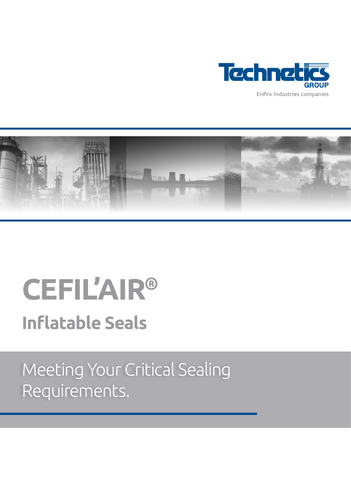



# **CEFIL'AIR® Inflatable Seals**

Meeting Your Critical Sealing Requirements.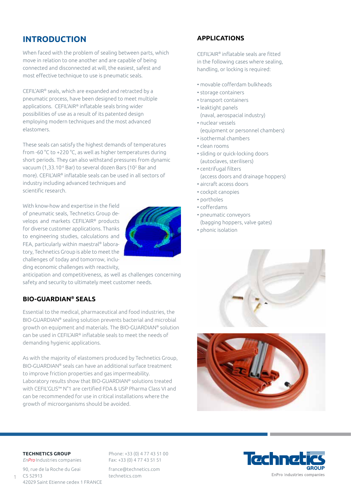## **INTRODUCTION**

When faced with the problem of sealing between parts, which move in relation to one another and are capable of being connected and disconnected at will, the easiest, safest and most effective technique to use is pneumatic seals.

CEFIL'AIR® seals, which are expanded and retracted by a pneumatic process, have been designed to meet multiple applications. CEFIL'AIR® inflatable seals bring wider possibilities of use as a result of its patented design employing modern techniques and the most advanced elastomers.

These seals can satisfy the highest demands of temperatures from -60 °C to +220 °C, as well as higher temperatures during short periods. They can also withstand pressures from dynamic vacuum (1,33.10<sup>-6</sup> Bar) to several dozen Bars (10<sup>2</sup> Bar and more). CEFIL'AIR® inflatable seals can be used in all sectors of industry including advanced techniques and scientific research.

With know-how and expertise in the field of pneumatic seals, Technetics Group develops and markets CEFIL'AIR® products for diverse customer applications. Thanks to engineering studies, calculations and FEA, particularly within maestral® laboratory, Technetics Group is able to meet the challenges of today and tomorrow, including economic challenges with reactivity,



anticipation and competitiveness, as well as challenges concerning safety and security to ultimately meet customer needs.

#### **BIO-GUARDIAN® SEALS**

Essential to the medical, pharmaceutical and food industries, the BIO-GUARDIAN® sealing solution prevents bacterial and microbial growth on equipment and materials. The BIO-GUARDIAN® solution can be used in CEFIL'AIR® inflatable seals to meet the needs of demanding hygienic applications.

As with the majority of elastomers produced by Technetics Group, BIO-GUARDIAN® seals can have an additional surface treatment to improve friction properties and gas impermeability. Laboratory results show that BIO-GUARDIAN® solutions treated with CEFIL'GLIS™ N°1 are certified FDA & USP Pharma Class VI and can be recommended for use in critical installations where the growth of microorganisms should be avoided.

### **APPLICATIONS**

CEFIL'AIR® inflatable seals are fitted in the following cases where sealing, handling, or locking is required:

- movable cofferdam bulkheads
- storage containers
- transport containers
- leaktight panels (naval, aerospacial industry)
- nuclear vessels (equipment or personnel chambers)
- isothermal chambers
- clean rooms
- sliding or quick-locking doors (autoclaves, sterilisers)
- centrifugal filters (access doors and drainage hoppers)
- aircraft access doors
- cockpit canopies
- portholes
- cofferdams
- pneumatic conveyors
- (bagging hoppers, valve gates)
- phonic isolation





#### **TECHNETICS GROUP**

1

*EnPro* Industries companies 90, rue de la Roche du Geai  $CS 52913$ 42029 Saint Etienne cedex 1 FRANCE

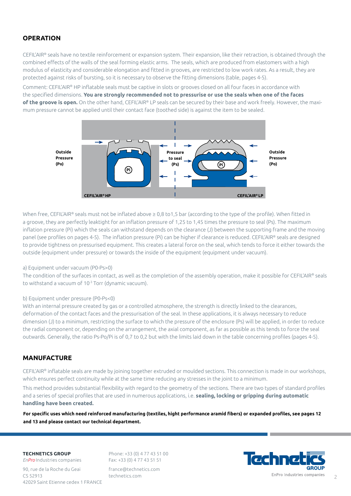#### **OPERATION**

CEFIL'AIR® seals have no textile reinforcement or expansion system. Their expansion, like their retraction, is obtained through the combined effects of the walls of the seal forming elastic arms. The seals, which are produced from elastomers with a high modulus of elasticity and considerable elongation and fitted in grooves, are restricted to low work rates. As a result, they are protected against risks of bursting, so it is necessary to observe the fitting dimensions (table, pages 4-5).

Comment: CEFIL'AIR® HP inflatable seals must be captive in slots or grooves closed on all four faces in accordance with the specified dimensions. **You are strongly recommended not to pressurise or use the seals when one of the faces of the groove is open.** On the other hand, CEFIL'AIR® LP seals can be secured by their base and work freely. However, the maximum pressure cannot be applied until their contact face (toothed side) is against the item to be sealed.



When free, CEFIL'AIR® seals must not be inflated above ≥ 0,8 to1,5 bar (according to the type of the profile). When fitted in a groove, they are perfectly leaktight for an inflation pressure of 1,25 to 1,45 times the pressure to seal (Ps). The maximum inflation pressure (Pi) which the seals can withstand depends on the clearance (J) between the supporting frame and the moving panel (see profiles on pages 4-5). The inflation pressure (Pi) can be higher if clearance is reduced. CEFIL'AIR® seals are designed to provide tightness on pressurised equipment. This creates a lateral force on the seal, which tends to force it either towards the outside (equipment under pressure) or towards the inside of the equipment (equipment under vacuum).

#### a) Equipment under vacuum (P0-Ps>0)

The condition of the surfaces in contact, as well as the completion of the assembly operation, make it possible for CEFIL'AIR® seals to withstand a vacuum of 10-3 Torr (dynamic vacuum).

#### b) Equipment under pressure (P0-Ps<0)

With an internal pressure created by gas or a controlled atmosphere, the strength is directly linked to the clearances, deformation of the contact faces and the pressurisation of the seal. In these applications, it is always necessary to reduce dimension (J) to a minimum, restricting the surface to which the pressure of the enclosure (Ps) will be applied, in order to reduce the radial component or, depending on the arrangement, the axial component, as far as possible as this tends to force the seal outwards. Generally, the ratio Ps-Po/Pi is of 0,7 to 0,2 but with the limits laid down in the table concerning profiles (pages 4-5).

#### **MANUFACTURE**

CEFIL'AIR® inflatable seals are made by joining together extruded or moulded sections. This connection is made in our workshops, which ensures perfect continuity while at the same time reducing any stresses in the joint to a minimum.

This method provides substantial flexibility with regard to the geometry of the sections. There are two types of standard profiles and a series of special profiles that are used in numerous applications, i.e. **sealing, locking or gripping during automatic handling have been created.**

**For specific uses which need reinforced manufacturing (textiles, hight performance aramid fibers) or expanded profiles, see pages 12 and 13 and please contact our technical department.**

#### **TECHNETICS GROUP**

*EnPro* Industries companies 90, rue de la Roche du Geai  $CS 52913$ 42029 Saint Etienne cedex 1 FRANCE

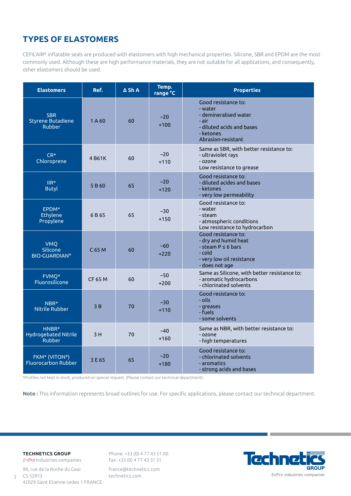## **TYPES OF ELASTOMERS**

CEFIL'AIR® inflatable seals are produced with elastomers with high mechanical properties. Silicone, SBR and EPDM are the most commonly used. Although these are high performance materials, they are not suitable for all applications, and consequently, other elastomers should be used.

| <b>Elastomers</b>                                       | Ref.              | $\Delta$ Sh A | Temp.<br>range °C | <b>Properties</b>                                                                                                                |
|---------------------------------------------------------|-------------------|---------------|-------------------|----------------------------------------------------------------------------------------------------------------------------------|
| <b>SBR</b><br><b>Styrene Butadiene</b><br><b>Rubber</b> | 1A60              | 60            | $-20$<br>$+100$   | Good resistance to:<br>- water<br>- demineralised water<br>- air<br>- diluted acids and bases<br>- ketones<br>Abrasion-resistant |
| $CR*$<br>Chloroprene                                    | 4 B61K            | 60            | $-20$<br>$+110$   | Same as SBR, with better resistance to:<br>- ultraviolet rays<br>- ozone<br>Low resistance to grease                             |
| $\mathsf{IIR}^\star$<br><b>Butyl</b>                    | 5B60              | 65            | $-20$<br>$+120$   | Good resistance to:<br>- diluted acides and bases<br>- ketones<br>- very low permeability                                        |
| EPDM*<br>Ethylene<br>Propylene                          | 6 B 65            | 65            | $-30$<br>$+150$   | Good resistance to:<br>- water<br>- steam<br>- atmospheric conditions<br>Low resistance to hydrocarbon                           |
| <b>VMQ</b><br>Silicone<br><b>BIO-GUARDIAN®</b>          | C <sub>65</sub> M | 60            | $-60$<br>$+220$   | Good resistance to:<br>- dry and humid heat<br>- steam $P \le 6$ bars<br>- cold<br>- very low oil resistance<br>- does not age   |
| FVMQ*<br><b>Fluorosilicone</b>                          | <b>CF 65 M</b>    | 60            | $-50$<br>$+200$   | Same as Silicone, with better resistance to:<br>- aromatic hydrocarbons<br>- chlorinated solvents                                |
| NBR*<br>Nitrile Rubber                                  | 3B                | 70            | $-30$<br>$+110$   | Good resistance to:<br>- oils -<br>- greases<br>- fuels<br>- some solvents                                                       |
| HNBR*<br>Hydrogebated Nitrile<br>Rubber                 | 3H                | 70            | $-40$<br>$+160$   | Same as NBR, with better resistance to:<br>- ozone<br>- high temperatures                                                        |
| FKM* (VITON®)<br>Fluorocarbon Rubber                    | 3 E 65            | 65            | $-20$<br>$+180$   | Good resistance to:<br>- chlorinated solvents<br>- aromatics<br>- strong acids and bases                                         |

\*Profiles not kept in stock, produced on special request. (Please contact our technical department).

**Note :** This information represents broad outlines for use. For specific applications, please contact our technical department.

#### **TECHNETICS GROUP**

3

*EnPro* Industries companies 90, rue de la Roche du Geai CS 52913 42029 Saint Etienne cedex 1 FRANCE

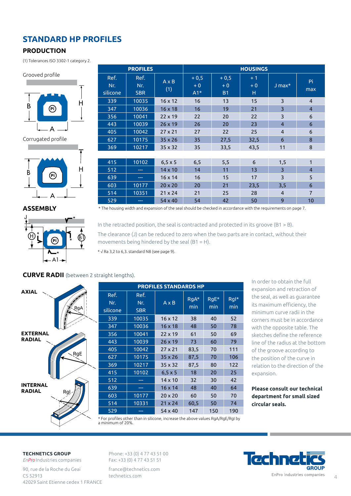## **STANDARD HP PROFILES**

#### **PRODUCTION**

(1) Tolerances ISO 3302-1 category 2.

#### Grooved profile



Corrugated profile



#### **ASSEMBLY**



|                         | <b>PROFILES</b>           |                     | <b>HOUSINGS</b>         |                             |                   |                |                |  |  |  |  |
|-------------------------|---------------------------|---------------------|-------------------------|-----------------------------|-------------------|----------------|----------------|--|--|--|--|
| Ref.<br>Nr.<br>silicone | Ref.<br>Nr.<br><b>SBR</b> | $A \times B$<br>(1) | $+0,5$<br>$+0$<br>$A1*$ | $+0,5$<br>$+0$<br><b>B1</b> | $+1$<br>$+0$<br>н | $J$ max $*$    | Pi<br>max      |  |  |  |  |
| 339                     | 10035                     | $16 \times 12$      | 16                      | 13                          | 15                | 3              | $\overline{4}$ |  |  |  |  |
| 347                     | 10036                     | $16 \times 18$      | 16                      | 19                          | 21                | $\overline{3}$ | $\overline{4}$ |  |  |  |  |
| 356                     | 10041                     | $22 \times 19$      | 22                      | 20                          | 22                | 3              | 6              |  |  |  |  |
| 443                     | 10039                     | $26 \times 19$      | 26                      | 20                          | 23                | $\overline{4}$ | 6              |  |  |  |  |
| 405                     | 10042                     | $27 \times 21$      | 27                      | 22                          | 25                | $\overline{4}$ | 6              |  |  |  |  |
| 627                     | 10175                     | $35 \times 26$      | 35                      | 27,5                        | 32,5              | 6              | 8              |  |  |  |  |
| 369                     | 10217                     | $35 \times 32$      | 35                      | 33,5                        | 43,5              | 11             | 8              |  |  |  |  |
|                         |                           |                     |                         |                             |                   |                |                |  |  |  |  |
| 415                     | 10102                     | $6,5 \times 5$      | 6, 5                    | 5,5                         | 6                 | 1,5            | 1              |  |  |  |  |
| 512                     |                           | $14 \times 10$      | 14                      | 11                          | 13                | 3              | $\overline{4}$ |  |  |  |  |
| 639                     | $\frac{1}{2}$             | $16 \times 14$      | 16                      | 15                          | 17                | 3              | 5              |  |  |  |  |
| 603                     | 10177                     | $20 \times 20$      | 20                      | 21                          | 23,5              | 3,5            | 6              |  |  |  |  |
| 514                     | 10351                     | $21 \times 24$      | 21                      | 25                          | 28                | $\overline{4}$ | $\overline{7}$ |  |  |  |  |
| 529                     |                           | $54 \times 40$      | 54                      | 42                          | 50                | 9              | 10             |  |  |  |  |

\* The housing width and expansion of the seal should be checked in accordance with the requirements on page 7.

In the retracted position, the seal is contracted and protected in its groove (B1 > B).

The clearance (J) can be reduced to zero when the two parts are in contact, without their movements being hindered by the seal  $(B1 = H)$ .

\* √ Ra 3,2 to 6,3. standard N8 (see page 9).

#### **CURVE RADII** (between 2 straight lengths).



| <b>PROFILES STANDARDS HP</b> |                           |                                                                                 |             |             |             |  |  |  |  |
|------------------------------|---------------------------|---------------------------------------------------------------------------------|-------------|-------------|-------------|--|--|--|--|
| Ref.<br>Nr.<br>silicone      | Ref.<br>Nr.<br><b>SBR</b> | $A \times B$                                                                    | RgA*<br>min | RgE*<br>min | RgI*<br>min |  |  |  |  |
| 339                          | 10035                     | $16 \times 12$                                                                  | 38          | 40          | 52          |  |  |  |  |
| 347                          | 10036                     | $16 \times 18$                                                                  | 48          | 50          | 78          |  |  |  |  |
| 356                          | 10041                     | $22 \times 19$                                                                  | 61          | 50          | 69          |  |  |  |  |
| 443                          | 10039                     | $26 \times 19$                                                                  | 73          | 60          | 79          |  |  |  |  |
| 405                          | 10042                     | $27 \times 21$                                                                  | 83,5        | 70          | 111         |  |  |  |  |
| 627                          | 10175                     | $35 \times 26$                                                                  | 87,5        | 70          | 106         |  |  |  |  |
| 369                          | 10217                     | $35 \times 32$                                                                  | 87,5        | 80          | 122         |  |  |  |  |
| 415                          | 10102                     | $6, 5 \times 5$                                                                 | 18          | 20          | 25          |  |  |  |  |
| 512                          |                           | $14 \times 10$                                                                  | 32          | 30          | 42          |  |  |  |  |
| 639                          |                           | $16 \times 14$                                                                  | 48          | 40          | 64          |  |  |  |  |
| 603                          | 10177                     | $20 \times 20$                                                                  | 60          | 50          | 70          |  |  |  |  |
| 514                          | 10331                     | $21 \times 24$                                                                  | 60,5        | 50          | 74          |  |  |  |  |
| 529                          |                           | $54 \times 40$                                                                  | 147         | 150         | 190         |  |  |  |  |
|                              |                           | * Eespeefiles ekhes khaa in siliseen. jassaase khe aheue ualues DeA /DeE/DeLhu. |             |             |             |  |  |  |  |

In order to obtain the full expansion and retraction of the seal, as well as guarantee its maximum efficiency, the minimum curve radii in the corners must be in accordance with the opposite table. The sketches define the reference line of the radius at the bottom of the groove according to the position of the curve in relation to the direction of the expansion.

**Please consult our technical department for small sized circular seals.**

than in silicone, increase the above values RgA/RgE/RgI by

#### **TECHNETICS GROUP**

*EnPro* Industries companies 90, rue de la Roche du Geai CS 52913 42029 Saint Etienne cedex 1 FRANCE

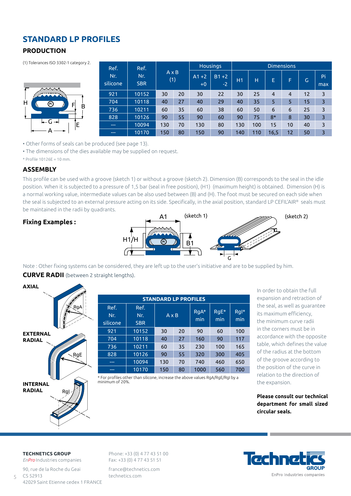## **STANDARD LP PROFILES**

#### **PRODUCTION**

(1) Tolerances ISO 3302-1 category 2.



| Ref.            | Ref.              |                     |    |                  | <b>Housings</b> | <b>Dimensions</b> |     |                |                |    |           |  |
|-----------------|-------------------|---------------------|----|------------------|-----------------|-------------------|-----|----------------|----------------|----|-----------|--|
| Nr.<br>silicone | Nr.<br><b>SBR</b> | $A \times B$<br>(1) |    | $A1 + 2$<br>$+0$ | $B1+2$<br>$-2$  | H1                | н   | E              | F              | G  | Pi<br>max |  |
| 921             | 10152             | 30                  | 20 | 30               | 22              | 30                | 25  | $\overline{4}$ | $\overline{a}$ | 12 | 3         |  |
| 704             | 10118             | 40                  | 27 | 40               | 29              | 40                | 35  | 5              | 5              | 15 | 3         |  |
| 736             | 10211             | 60                  | 35 | 60               | 38              | 60                | 50  | 6              | 6              | 25 | 3         |  |
| 828             | 10126             | 90                  | 55 | 90               | 60              | 90                | 75  | $8*$           | 8              | 30 | 3         |  |
| $\frac{1}{2}$   | 10094             | 130                 | 70 | 130              | 80              | 130               | 100 | 15             | 10             | 40 | 3         |  |
| ---             | 10170             | 150                 | 80 | 150              | 90              | 140               | 110 | 16,5           | 12             | 50 | 3         |  |

• Other forms of seals can be produced (see page 13).

• The dimensions of the dies available may be supplied on request.

\* Profile 10126E = 10 mm.

#### **ASSEMBLY**

This profile can be used with a groove (sketch 1) or without a groove (sketch 2). Dimension (B) corresponds to the seal in the idle position. When it is subjected to a pressure of 1,5 bar (seal in free position), (H1) (maximum height) is obtained. Dimension (H) is a normal working value, intermediate values can be also used between (B) and (H). The foot must be secured on each side when the seal is subjected to an external pressure acting on its side. Specifically, in the axial position, standard LP CEFIL'AIR® seals must be maintained in the radii by quadrants.

#### **Fixing Examples :**



Note : Other fixing systems can be considered, they are left up to the user's initiative and are to be supplied by him.

#### **CURVE RADII** (between 2 straight lengths).



| <b>STANDARD LP PROFILES</b> |                           |              |    |               |             |             |  |  |
|-----------------------------|---------------------------|--------------|----|---------------|-------------|-------------|--|--|
| Ref.<br>Nr.<br>silicone     | Ref.<br>Nr.<br><b>SBR</b> | $A \times B$ |    | $RqA*$<br>min | RgE*<br>min | RgI*<br>min |  |  |
| 921                         | 10152                     | 30           | 20 | 90            | 60          | 100         |  |  |
| 704                         | 10118                     | 40           | 27 | 160           | 90          | 117         |  |  |
| 736                         | 10211                     | 60           | 35 | 230           | 100         | 165         |  |  |
| 828                         | 10126                     | 90           | 55 | 320           | 300         | 405         |  |  |
| ---                         | 10094                     | 130          | 70 | 740           | 460         | 650         |  |  |
| ---                         | 10170                     | 150          | 80 | 1000          | 560         | 700         |  |  |

\* For profiles other than silicone, increase the above values RgA/RgE/RgI by a minimum of 20%.

In order to obtain the full expansion and retraction of the seal, as well as guarantee its maximum efficiency, the minimum curve radii in the corners must be in accordance with the opposite table, which defines the value of the radius at the bottom of the groove according to the position of the curve in relation to the direction of the expansion.

**Please consult our technical department for small sized circular seals.**

**TECHNETICS GROUP**

5

*EnPro* Industries companies 90, rue de la Roche du Geai  $CS$  52913 42029 Saint Etienne cedex 1 FRANCE

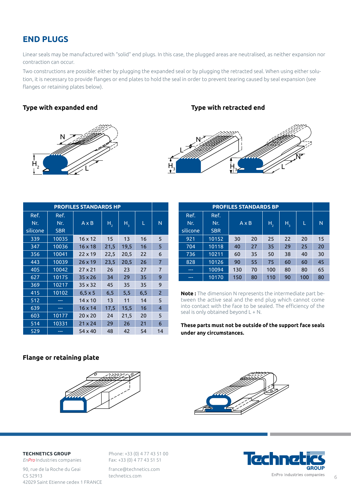## **END PLUGS**

Linear seals may be manufactured with "solid" end plugs. In this case, the plugged areas are neutralised, as neither expansion nor contraction can occur.

Two constructions are possible: either by plugging the expanded seal or by plugging the retracted seal. When using either solution, it is necessary to provide flanges or end plates to hold the seal in order to prevent tearing caused by seal expansion (see flanges or retaining plates below).

#### **Type with expanded end**



| Type with retracted end |  |
|-------------------------|--|
|-------------------------|--|



|             |             | <b>PROFILES STANDARDS HP</b> |                |         |      |                |
|-------------|-------------|------------------------------|----------------|---------|------|----------------|
| Ref.<br>Nr. | Ref.<br>Nr. | $A \times B$                 |                |         |      | N              |
| silicone    | <b>SBR</b>  |                              | H <sub>2</sub> | $H_{3}$ | L    |                |
| 339         | 10035       | $16 \times 12$               | 15             | 13      | 16   | 5              |
| 347         | 10036       | $16 \times 18$               | 21,5           | 19,5    | 16   | 5              |
| 356         | 10041       | $22 \times 19$               | 22,5           | 20,5    | 22   | 6              |
| 443         | 10039       | $26 \times 19$               | 23,5           | 20,5    | 26   | $\overline{7}$ |
| 405         | 10042       | $27 \times 21$               | 26             | 23      | 27   | $\overline{7}$ |
| 627         | 10175       | $35 \times 26$               | 34             | 29      | 35   | 9              |
| 369         | 10217       | $35 \times 32$               | 45             | 35      | 35   | 9              |
| 415         | 10102       | $6, 5 \times 5$              | 6, 5           | 5,5     | 6, 5 | $\overline{2}$ |
| 512         |             | $14 \times 10$               | 13             | 11      | 14   | 5              |
| 639         | ---         | $16 \times 14$               | 17,5           | 15,5    | 16   | $\overline{4}$ |
| 603         | 10177       | $20 \times 20$               | 24             | 21,5    | 20   | 5              |
| 514         | 10331       | $21 \times 24$               | 29             | 26      | 21   | 6              |
| 529         |             | 54 x 40                      | 48             | 42      | 54   | 14             |

| <b>PROFILES STANDARDS BP</b> |                           |     |              |         |         |     |    |  |  |
|------------------------------|---------------------------|-----|--------------|---------|---------|-----|----|--|--|
| Ref.<br>Nr.<br>silicone      | Ref.<br>Nr.<br><b>SBR</b> |     | $A \times B$ | $H_{2}$ | $H_{3}$ | г   | N  |  |  |
| 921                          | 10152                     | 30  | 20           | 25      | 22      | 20  | 15 |  |  |
| 704                          | 10118                     | 40  | 27           | 35      | 29      | 25  | 20 |  |  |
| 736                          | 10211                     | 60  | 35           | 50      | 38      | 40  | 30 |  |  |
| 828                          | 10126                     | 90  | 55           | 75      | 60      | 60  | 45 |  |  |
| ---                          | 10094                     | 130 | 70           | 100     | 80      | 80  | 65 |  |  |
| ---                          | 10170                     | 150 | 80           | 110     | 90      | 100 | 80 |  |  |

**Note :** The dimension N represents the intermediate part between the active seal and the end plug which cannot come into contact with the face to be sealed. The efficiency of the seal is only obtained beyond L + N.

**These parts must not be outside of the support face seals under any circumstances.**

#### **Flange or retaining plate**





#### **TECHNETICS GROUP**

*EnPro* Industries companies 90, rue de la Roche du Geai CS 52913 42029 Saint Etienne cedex 1 FRANCE

Phone: +33 (0) 4 77 43 51 00 Fax: +33 (0) 4 77 43 51 51 france@technetics.com

technetics.com

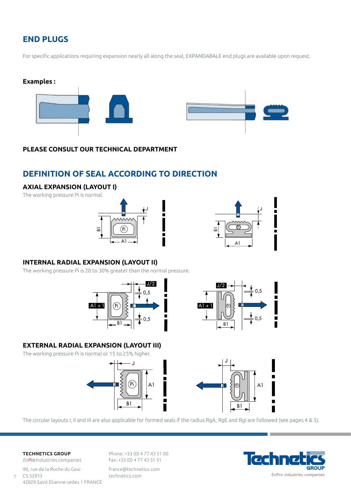## **END PLUGS**

For specific applications requiring expansion nearly all along the seal, EXPANDABALE end plugs are available upon request.





#### **PLEASE CONSULT OUR TECHNICAL DEPARTMENT**

## **DEFINITION OF SEAL ACCORDING TO DIRECTION**

#### **AXIAL EXPANSION (LAYOUT I)**

The working pressure Pi is normal.





#### **INTERNAL RADIAL EXPANSION (LAYOUT II)**

The working pressure Pi is 20 to 30% greater than the normal pressure.





#### **EXTERNAL RADIAL EXPANSION (LAYOUT III)**

The working pressure Pi is normal or 15 to 25% higher.







The circular layouts I, II and III are also applicable for formed seals if the radius RgA, RgE and RgI are followed (see pages 4 & 5).

#### **TECHNETICS GROUP**

7

*EnPro* Industries companies 90, rue de la Roche du Geai CS 52913 42029 Saint Etienne cedex 1 FRANCE

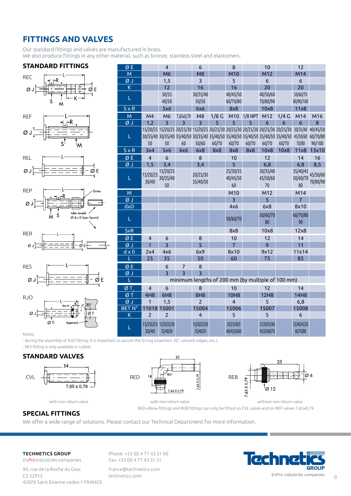## **FITTINGS AND VALVES**

Our standard fittings and valves are manufactured in brass. We also produce fittings in any other material, such as bronze, stainless steel and elastomers.

L

L

L

50

15/20/25 30/40

30/35 40/50

50

15/20/25 30/35/40 50

60

#### **STANDARD FITTINGS**















| ØΕ                                          |               |       |                                  |                         | minimum lengths of 200 mm (by multiple of 100 mm) |                           |                            |                         |
|---------------------------------------------|---------------|-------|----------------------------------|-------------------------|---------------------------------------------------|---------------------------|----------------------------|-------------------------|
|                                             | ØΤ            | 4     | 6                                | 8                       |                                                   | 10                        | 12                         | 14                      |
|                                             | ØΤ            | 4H8   | 6H <sub>8</sub>                  | <b>8H8</b>              |                                                   | <b>10H8</b>               | <b>12H8</b>                | 14H <sub>8</sub>        |
| $ 30^{\circ} $                              | ØJ            |       | 1,5                              |                         |                                                   | 4                         |                            | 6,8                     |
| Bet $N^{\circ}$ : $+$                       | <b>BET N°</b> |       | 11018 15001                      | 15004                   |                                                   | 15006                     | 15007                      | 15008                   |
| $\varnothing$                               |               |       |                                  | 4                       |                                                   |                           |                            | b                       |
| $\varnothing$ T <sub>1</sub><br>(logement)- |               | 30/40 | 15/20/25 15/20/25/30<br>35/40/50 | 15/20/25/30<br>35/40/50 |                                                   | 20/25/30/5<br>40/45/50/60 | 25/30/35/40<br>45/50/60/70 | 35/40/45/50<br>60/70/80 |

- during the assembly of RJO fitting, it is important to secure the O-ring (chamfers 30°, smooth edges, etc.).

- RES fitting is only available in rubber.

Notes:

#### **STANDARD VALVES**





Ø J | 3 | 3 | 3



RED elbow fittings and REB fittings can only be fitted on CVL valves and on REF valves 7,65x0,79. with non return valve with non return valve with non return valve without non return valve

Ø E 4 6 8 10 12 M | M6 | M8 | M10 | M12 | M14 Ø J 1,5 3 5 6 6 K 12 16 16 20 20

S x R 5x6 6x6 8x8 10x8 11x8 M M4 M6 7,65x0,79 M8 1/8 G M10 1/8 NPT M12 1/4 G M14 M16 Ø J 1,2 3 3 3 5 5 5 6 6 6 8

30/35/40 30/35/40 35/40/50 30/35/40 35/40/50 35/40/50 35/40/50 35/40/50 35/40/50

60/70

M M M10 M12 M14 Ø J J J J J 3 J 3 J 5 J 7 dxD 4x6 6x8 8x10

SxR 3.12x8 10x8 12x8

Ø E 4 6 8 10 12 12 ØJ 1 3 5 7 9 11 d x 0 2x4 4x6 6x9 8x10 9x12 11x14 L 25 35 50 60 75 85

minimum lengths of 200 mm (by multiple of 100 mm)

S x R 3x4 5x6 6x6 6x8 8x8 8x8 8x8 10x8 10x8 11x8 13x10 Ø E 4 6 8 10 12 14 16 Ø J 1,5 3,4 3,4 5 6,8 6,8 8,5

40/45/50 60/70/80

15/20/25 15/20/25 20/25/30 15/20/25 20/25/30 20/25/30 20/25/30 20/25/30 20/25/30 30/35/40 40/45/50

60/70

25/30/35 40/45/50 60

60/70

40/50/60 70/80/90

60/70

30/35/40 45/50/60 70

80

60/70

50/60/70 80/90/100

35/40/45 50/60/70 80

60/70/80 90

45/50/60 60/70/80 70/80

90/100

45/50/60 70/80/90

30/35/40 50/50

50/60

20/25/30 35/40/50

 $L = \begin{bmatrix} 1 & 0 & 0 \\ 0 & 0 & 0 \\ 0 & 0 & 0 \end{bmatrix}$  =  $\begin{bmatrix} 1 & 0 & 0 \\ 0 & 0 & 0 \\ 0 & 0 & 0 \end{bmatrix}$  =  $\begin{bmatrix} 50/60/70 & 50/60/70 \\ 0 & 0 & 0 \end{bmatrix}$ 

#### **SPECIAL FITTINGS**

We offer a wide range of solutions. Please contact our Technical Department for more information.

#### **TECHNETICS GROUP**

*EnPro* Industries companies 90, rue de la Roche du Geai  $CS 52913$ 42029 Saint Etienne cedex 1 FRANCE

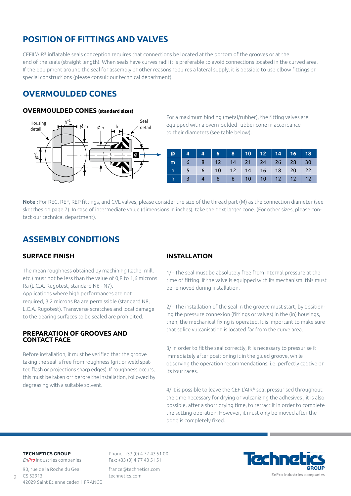## **POSITION OF FITTINGS AND VALVES**

CEFIL'AIR® inflatable seals conception requires that connections be located at the bottom of the grooves or at the end of the seals (straight length). When seals have curves radii it is preferable to avoid connections located in the curved area. If the equipment around the seal for assembly or other reasons requires a lateral supply, it is possible to use elbow fittings or special constructions (please consult our technical department).

## **OVERMOULDED CONES**

#### **OVERMOULDED CONES (standard sizes)**



For a maximum binding (metal/rubber), the fitting valves are equipped with a overmoulded rubber cone in accordance to their diameters (see table below).

| ø. |          |            |  |  |                        |       |    |
|----|----------|------------|--|--|------------------------|-------|----|
|    | m        | $6-1$      |  |  | 8 12 14 21 24 26 28    |       | 30 |
|    | $\Gamma$ | $\nabla$ 5 |  |  | 6 10 12 14 16 18       | 20 22 |    |
|    | h        |            |  |  | 3 4 6 6 10 10 12 12 12 |       |    |

**Note :** For REC, REF, REP fittings, and CVL valves, please consider the size of the thread part (M) as the connection diameter (see sketches on page 7). In case of intermediate value (dimensions in inches), take the next larger cone. (For other sizes, please contact our technical department).

## **ASSEMBLY CONDITIONS**

#### **SURFACE FINISH**

The mean roughness obtained by machining (lathe, mill, etc.) must not be less than the value of 0,8 to 1,6 microns Ra (L.C.A. Rugotest, standard N6 - N7).

Applications where high performances are not required, 3,2 microns Ra are permissible (standard N8, L.C.A. Rugotest). Transverse scratches and local damage to the bearing surfaces to be sealed are prohibited.

#### **PREPARATION OF GROOVES AND CONTACT FACE**

Before installation, it must be verified that the groove taking the seal is free from roughness (grit or weld spatter, flash or projections sharp edges). If roughness occurs, this must be taken off before the installation, followed by degreasing with a suitable solvent.

#### **INSTALLATION**

1/ - The seal must be absolutely free from internal pressure at the time of fitting. If the valve is equipped with its mechanism, this must be removed during installation.

2/ - The installation of the seal in the groove must start, by positioning the pressure connexion (fittings or valves) in the (in) housings, then, the mechanical fixing is operated. It is important to make sure that splice vulcanisation is located far from the curve area.

3/ In order to fit the seal correctly, it is necessary to pressurise it immediately after positioning it in the glued groove, while observing the operation recommendations, i.e. perfectly captive on its four faces.

4/ It is possible to leave the CEFIL'AIR® seal pressurised throughout the time necessary for drying or vulcanizing the adhesives ; it is also possible, after a short drying time, to retract it in order to complete the setting operation. However, it must only be moved after the bond is completely fixed.

#### **TECHNETICS GROUP**

 $\circ$ 

*EnPro* Industries companies 90, rue de la Roche du Geai  $CS$  52913 42029 Saint Etienne cedex 1 FRANCE

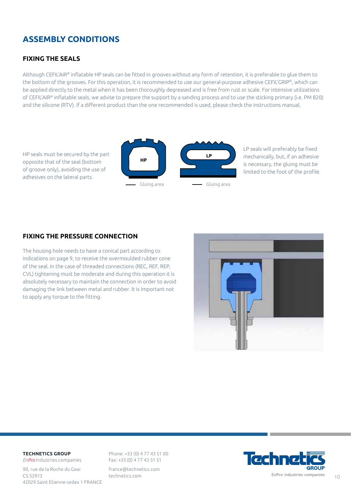## **ASSEMBLY CONDITIONS**

#### **FIXING THE SEALS**

Although CEFIL'AIR® inflatable HP seals can be fitted in grooves without any form of retention, it is preferable to glue them to the bottom of the grooves. For this operation, it is recommended to use our general-purpose adhesive CEFIL'GRIP®, which can be applied directly to the metal when it has been thoroughly degreased and is free from rust or scale. For intensive utilizations of CEFIL'AIR® inflatable seals, we advise to prepare the support by a sanding process and to use the sticking primary (i.e. PM 820) and the silicone (RTV). If a different product than the one recommended is used, please check the instructions manual.



LP seals will preferably be fixed mechanically, but, if an adhesive is necessary, the gluing must be limited to the foot of the profile.

#### **FIXING THE PRESSURE CONNECTION**

The housing hole needs to have a conical part according to indications on page 9, to receive the overmoulded rubber cone of the seal. In the case of threaded connections (REC, REF, REP, CVL) tightening must be moderate and during this operation it is absolutely necessary to maintain the connection in order to avoid damaging the link between metal and rubber. It is important not to apply any torque to the fitting.



#### **TECHNETICS GROUP**

*EnPro* Industries companies 90, rue de la Roche du Geai  $CS 52913$ 42029 Saint Etienne cedex 1 FRANCE

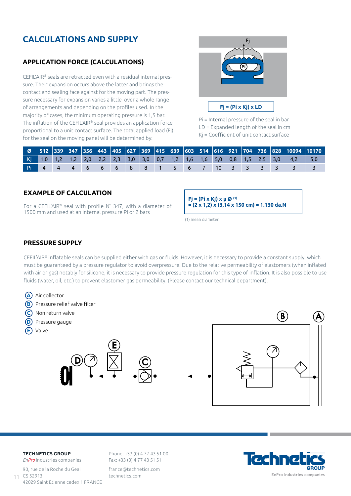## **CALCULATIONS AND SUPPLY**

#### **APPLICATION FORCE (CALCULATIONS)**

CEFIL'AIR® seals are retracted even with a residual internal pressure. Their expansion occurs above the latter and brings the contact and sealing face against for the moving part. The pressure necessary for expansion varies a little over a whole range of arrangements and depending on the profiles used. In the majority of cases, the minimum operating pressure is 1,5 bar. The inflation of the CEFIL'AIR® seal provides an application force proportional to a unit contact surface. The total applied load (Fj) for the seal on the moving panel will be determined by:



Pi = Internal pressure of the seal in bar LD = Expanded length of the seal in cm Kj = Coefficient of unit contact surface

|  |  |                  |     |  |  |        |  |  | Kj 1,0 1,2 1,2 2,0 2,2 2,3 3,0 3,0 0,7 1,2 1,6 1,6 5,0 0,8 1,5 2,5 3,0 4,2 5,0 |  |
|--|--|------------------|-----|--|--|--------|--|--|--------------------------------------------------------------------------------|--|
|  |  | Pi 4 4 4 6 6 6 7 | - 8 |  |  | ੫ 10 ਪ |  |  |                                                                                |  |

#### **EXAMPLE OF CALCULATION**

For a CEFIL'AIR® seal with profile N° 347, with a diameter of 1500 mm and used at an internal pressure Pi of 2 bars

**Fj = (Pi x Kj) x µ Ø (1) = (2 x 1,2) x (3,14 x 150 cm) = 1.130 da.N**

(1) mean diameter

#### **PRESSURE SUPPLY**

CEFIL'AIR® inflatable seals can be supplied either with gas or fluids. However, it is necessary to provide a constant supply, which must be guaranteed by a pressure regulator to avoid overpressure. Due to the relative permeability of elastomers (when inflated with air or gas) notably for silicone, it is necessary to provide pressure regulation for this type of inflation. It is also possible to use fluids (water, oil, etc.) to prevent elastomer gas permeability. (Please contact our technical department).



#### **TECHNETICS GROUP**

*EnPro* Industries companies 90, rue de la Roche du Geai CS 52913 42029 Saint Etienne cedex 1 FRANCE 11

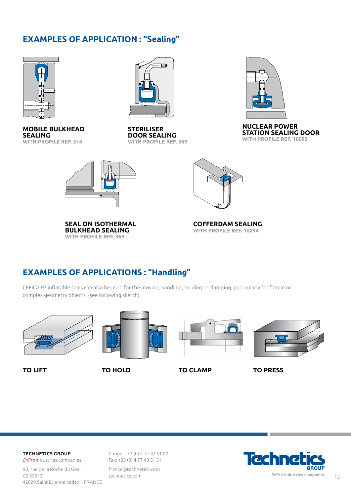## **EXAMPLES OF APPLICATION : "Sealing"**



**MOBILE BULKHEAD SEALING WITH PROFILE REF. 514**



**STERILISER DOOR SEALING WITH PROFILE REF. 369**



**NUCLEAR POWER STATION SEALING DOOR WITH PROFILE REF. 10093**



**SEAL ON ISOTHERMAL BULKHEAD SEALING WITH PROFILE REF. 369**



**COFFERDAM SEALING WITH PROFILE REF. 10094**

## **EXAMPLES OF APPLICATIONS : "Handling"**

CEFIL'AIR® inflatable seals can also be used for the moving, handling, holding or clamping, particularly for fragile or complex geometry objects. (see following sketch).





**TO LIFT TO HOLD TO CLAMP TO PRESS**





#### **TECHNETICS GROUP**

*EnPro* Industries companies 90, rue de la Roche du Geai CS 52913 42029 Saint Etienne cedex 1 FRANCE

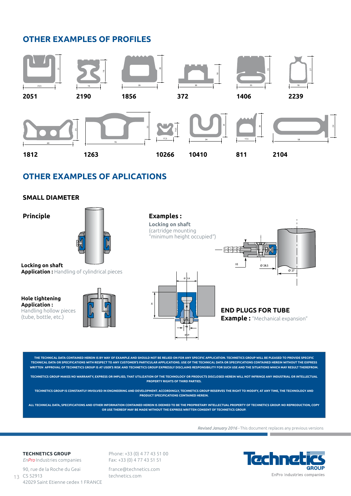## **OTHER EXAMPLES OF PROFILES**



## **OTHER EXAMPLES OF APLICATIONS**

#### **SMALL DIAMETER**

**Principle**



**Locking on shaft Application :** Handling of cylindrical pieces

**Hole tightening Application :**  Handling hollow pieces (tube, bottle, etc.)





**Examples : Locking on shaft**  (cartridge mounting



**END PLUGS FOR TUBE Example :** "Mechanical expansion"

**THE TECHNICAL DATA CONTAINED HEREIN IS BY WAY OF EXAMPLE AND SHOULD NOT BE RELIED ON FOR ANY SPECIFIC APPLICATION. TECHNETICS GROUP WILL BE PLEASED TO PROVIDE SPECIFIC TECHNICAL DATA OR SPECIFICATIONS WITH RESPECT TO ANY CUSTOMER'S PARTICULAR APPLICATIONS. USE OF THE TECHNICAL DATA OR SPECIFICATIONS CONTAINED HEREIN WITHOUT THE EXPRESS WRITTEN APPROVAL OF TECHNETICS GROUP IS AT USER'S RISK AND TECHNETICS GROUP EXPRESSLY DISCLAIMS RESPONSIBILITY FOR SUCH USE AND THE SITUATIONS WHICH MAY RESULT THEREFROM.**

**TECHNETICS GROUP MAKES NO WARRANTY, EXPRESS OR IMPLIED, THAT UTILIZATION OF THE TECHNOLOGY OR PRODUCTS DISCLOSED HEREIN WILL NOT INFRINGE ANY INDUSTRIAL OR INTELLECTUAL PROPERTY RIGHTS OF THIRD PARTIES.**

**TECHNETICS GROUP IS CONSTANTLY INVOLVED IN ENGINEERING AND DEVELOPMENT. ACCORDINGLY, TECHNETICS GROUP RESERVES THE RIGHT TO MODIFY, AT ANY TIME, THE TECHNOLOGY AND PRODUCT SPECIFICATIONS CONTAINED HEREIN.**

**ALL TECHNICAL DATA, SPECIFICATIONS AND OTHER INFORMATION CONTAINED HEREIN IS DEEMED TO BE THE PROPRIETARY INTELLECTUAL PROPERTY OF TECHNETICS GROUP. NO REPRODUCTION, COPY OR USE THEREOF MAY BE MADE WITHOUT THE EXPRESS WRITTEN CONSENT OF TECHNETICS GROUP.**

*Revised January 2016 -* This document replaces any previous versions

## $\overline{u}$ **GROUF** EnPro Industries companies

#### **TECHNETICS GROUP**

*EnPro* Industries companies 90, rue de la Roche du Geai CS 52913 42029 Saint Etienne cedex 1 FRANCE 13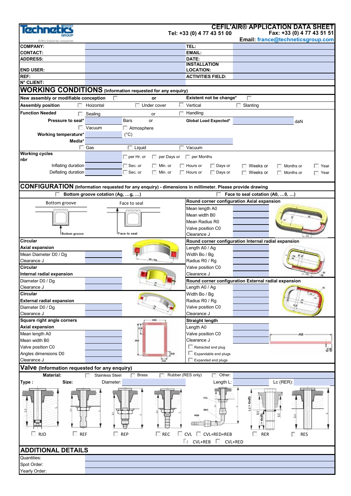| Technet                                       |                                                                                                          |                                            | <b>CEFIL'AIR® APPLICATION DATA SHEET</b>                      |
|-----------------------------------------------|----------------------------------------------------------------------------------------------------------|--------------------------------------------|---------------------------------------------------------------|
|                                               |                                                                                                          | Tel: +33 (0) 4 77 43 51 00                 | Fax: +33 (0) 4 77 43 51 51                                    |
| Peu Industries contracte                      |                                                                                                          |                                            | Email: france@techneticsgroup.com                             |
| <b>COMPANY:</b>                               |                                                                                                          | TEL:                                       |                                                               |
| <b>CONTACT:</b>                               |                                                                                                          | EMAIL:                                     |                                                               |
| <b>ADDRESS:</b>                               |                                                                                                          | DATE:<br><b>INSTALLATION</b>               |                                                               |
| <b>END USER:</b>                              |                                                                                                          | <b>LOCATION:</b>                           |                                                               |
| REF:                                          |                                                                                                          | <b>ACTIVITIES FIELD:</b>                   |                                                               |
| N° CLIENT:                                    |                                                                                                          |                                            |                                                               |
|                                               | <b>WORKING CONDITIONS</b> (Information requested for any enquiry)                                        |                                            |                                                               |
| New assembly or modifiable conception         | or                                                                                                       | Existent not be change*                    | n                                                             |
| <b>Assembly position</b><br>F.                | Under cover<br>Hoizontal                                                                                 | 53<br>Vertical                             | $\Box$ Slanting                                               |
|                                               |                                                                                                          |                                            |                                                               |
| <b>Function Needed</b><br>೯                   | Sealing<br>or                                                                                            | Handling                                   |                                                               |
| Pressure to seal*                             | <b>Bars</b><br>or                                                                                        | Global Load Expected*                      | daN                                                           |
|                                               | Vacuum<br>Atmosphere                                                                                     |                                            |                                                               |
| Working temperature*                          | $(^{\circ}C)$                                                                                            |                                            |                                                               |
| Media*                                        |                                                                                                          |                                            |                                                               |
| <b>Working cycles</b>                         | $\Box$ Gas<br>$\Box$ Liquid                                                                              | Vacuum                                     |                                                               |
| nbr                                           | $\Box$ per Hr. or                                                                                        | per Days or per Months                     |                                                               |
| Inflating duration                            | $\Box$ Sec. or<br>$\Box$ Min. or                                                                         | $\Box$ Hours or<br>Days or                 | $\Box$ Weeks or<br>Months or<br>Year                          |
| Deflating duration                            | $\Box$ Sec. or<br>$\Box$ Min. or                                                                         | $\Box$ Hours or<br>$\Box$ Days or          | $\Box$ Weeks or<br>Months or<br>$\Box$ Year                   |
|                                               |                                                                                                          |                                            |                                                               |
|                                               | CONFIGURATION (Information requested for any enquiry) - dimensions in millimeter. Please provide drawing |                                            |                                                               |
|                                               |                                                                                                          |                                            |                                                               |
|                                               | Bottom groove cotation (Ag, g, )                                                                         |                                            | Face to seal cotation (A0, 0, )                               |
| Bottom groove                                 | Face to seal                                                                                             | Round corner configuration Axial expansion |                                                               |
|                                               |                                                                                                          | Mean length A0                             |                                                               |
|                                               |                                                                                                          | Mean width B0                              |                                                               |
|                                               |                                                                                                          | Mean Radius R0                             |                                                               |
| <b>Bottom</b> groove                          | Face to seal                                                                                             | Valve position C0<br>Clearance J           |                                                               |
| Circular                                      |                                                                                                          |                                            | ce<br>Round corner configuration Internal radial expansion    |
| Axial expansion                               |                                                                                                          | Length A0 / Ag                             |                                                               |
| Mean Diameter D0 / Dq                         |                                                                                                          | Width Bo / Bg                              |                                                               |
| Clearance J                                   |                                                                                                          | Radius R0 / Rg                             |                                                               |
| Circular                                      |                                                                                                          | Valve position C0                          |                                                               |
| Internal radial expansion                     |                                                                                                          | Clearance J                                |                                                               |
| Diameter D0 / Dg                              |                                                                                                          |                                            | Round corner configuration External radial expansion          |
| Clearance J                                   |                                                                                                          | Length A0 / Ag                             |                                                               |
| Circular                                      |                                                                                                          | Width Bo / Bg                              |                                                               |
| <b>External radial expansion</b>              |                                                                                                          | Radius R0 / Rg                             |                                                               |
| Diameter D0 / Dg                              |                                                                                                          | Valve position C0                          |                                                               |
| Clearance J                                   |                                                                                                          | Clearance J                                |                                                               |
| Square right angle corners                    | D0                                                                                                       | <b>Straight length</b>                     |                                                               |
| <b>Axial expansion</b>                        | C0                                                                                                       | Length A0                                  |                                                               |
| Mean length A0                                |                                                                                                          | Valve position C0                          | A0                                                            |
| Mean width B0                                 | AB                                                                                                       | Clearance J                                |                                                               |
| Valve position C0                             |                                                                                                          | Retracted end plug                         | $_{\rm{ce}}$                                                  |
| Angles dimensions D0                          | Too                                                                                                      | Expandable end plugs                       |                                                               |
| Clearance J                                   |                                                                                                          | Expanded end plugs                         |                                                               |
| Valve (Information requested for any enquiry) |                                                                                                          |                                            |                                                               |
| Material:                                     | <b>Brass</b><br>Stainless Steel                                                                          | Rubber (RES only)<br>Other:                |                                                               |
| Size:<br>Type :                               | Diameter:                                                                                                | Length L:                                  | Lc (RER):                                                     |
| $\Box$ RJO<br>$\Box$ REF                      | $\Gamma$ REC<br>$\Box$ REP                                                                               | REB<br>CVL CVL+RED+REB                     | $(0 \times 9 < 1)$<br>Ξ<br>€<br><b>RER</b><br><b>RES</b><br>г |
|                                               |                                                                                                          | E <sub>I</sub> CVL+REB CVL+RED             |                                                               |
| <b>ADDITIONAL DETAILS</b>                     |                                                                                                          |                                            |                                                               |
| Quantities:                                   |                                                                                                          |                                            |                                                               |
| Spot Order:                                   |                                                                                                          |                                            |                                                               |
| Yearly Order:                                 |                                                                                                          |                                            |                                                               |
|                                               |                                                                                                          |                                            |                                                               |